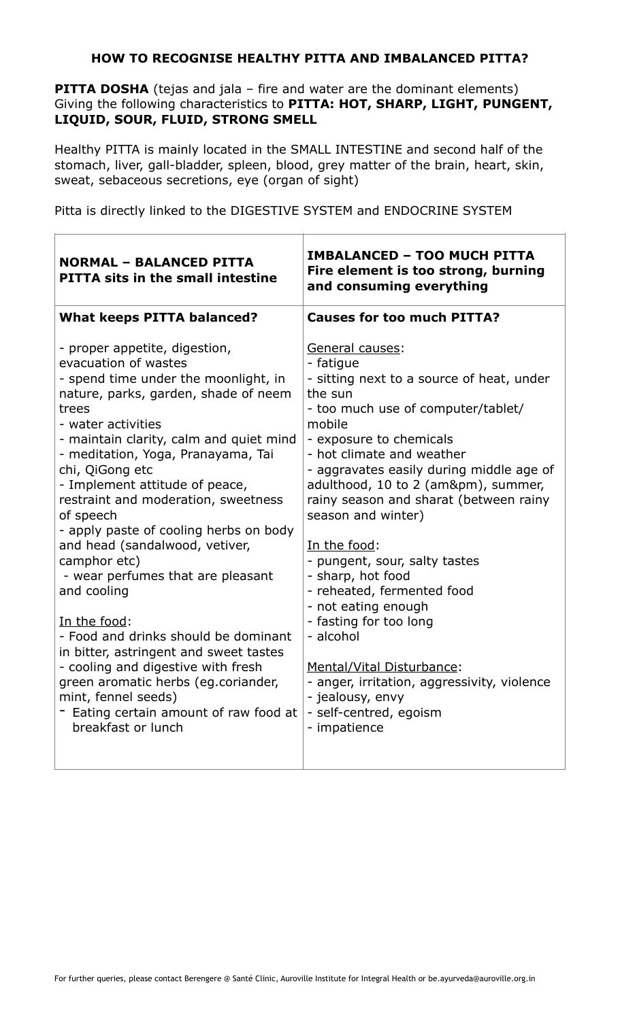## **HOW TO RECOGNISE HEALTHY PITTA AND IMBALANCED PITTA?**

**PITTA DOSHA** (tejas and jala – fire and water are the dominant elements) Giving the following characteristics to **PITTA: HOT, SHARP, LIGHT, PUNGENT, LIQUID, SOUR, FLUID, STRONG SMELL**

Healthy PITTA is mainly located in the SMALL INTESTINE and second half of the stomach, liver, gall-bladder, spleen, blood, grey matter of the brain, heart, skin, sweat, sebaceous secretions, eye (organ of sight)

Ī

Pitta is directly linked to the DIGESTIVE SYSTEM and ENDOCRINE SYSTEM

| <b>NORMAL - BALANCED PITTA</b><br><b>PITTA sits in the small intestine</b>                                                                                                                                                                                                                                                                                                                                                                                                                                                                                                                                                                                                                                                                                                           | <b>IMBALANCED - TOO MUCH PITTA</b><br>Fire element is too strong, burning<br>and consuming everything                                                                                                                                                                                                                                                                                                                                                                                                                                                                                                                                                     |
|--------------------------------------------------------------------------------------------------------------------------------------------------------------------------------------------------------------------------------------------------------------------------------------------------------------------------------------------------------------------------------------------------------------------------------------------------------------------------------------------------------------------------------------------------------------------------------------------------------------------------------------------------------------------------------------------------------------------------------------------------------------------------------------|-----------------------------------------------------------------------------------------------------------------------------------------------------------------------------------------------------------------------------------------------------------------------------------------------------------------------------------------------------------------------------------------------------------------------------------------------------------------------------------------------------------------------------------------------------------------------------------------------------------------------------------------------------------|
| <b>What keeps PITTA balanced?</b>                                                                                                                                                                                                                                                                                                                                                                                                                                                                                                                                                                                                                                                                                                                                                    | <b>Causes for too much PITTA?</b>                                                                                                                                                                                                                                                                                                                                                                                                                                                                                                                                                                                                                         |
| - proper appetite, digestion,<br>evacuation of wastes<br>- spend time under the moonlight, in<br>nature, parks, garden, shade of neem<br>trees<br>- water activities<br>- maintain clarity, calm and quiet mind<br>- meditation, Yoga, Pranayama, Tai<br>chi, QiGong etc<br>- Implement attitude of peace,<br>restraint and moderation, sweetness<br>of speech<br>- apply paste of cooling herbs on body<br>and head (sandalwood, vetiver,<br>camphor etc)<br>- wear perfumes that are pleasant<br>and cooling<br>In the food:<br>- Food and drinks should be dominant<br>in bitter, astringent and sweet tastes<br>- cooling and digestive with fresh<br>green aromatic herbs (eg.coriander,<br>mint, fennel seeds)<br>- Eating certain amount of raw food at<br>breakfast or lunch | General causes:<br>- fatigue<br>- sitting next to a source of heat, under<br>the sun<br>- too much use of computer/tablet/<br>mobile<br>- exposure to chemicals<br>- hot climate and weather<br>- aggravates easily during middle age of<br>adulthood, 10 to 2 (am±), summer,<br>rainy season and sharat (between rainy<br>season and winter)<br>In the food:<br>- pungent, sour, salty tastes<br>- sharp, hot food<br>- reheated, fermented food<br>- not eating enough<br>- fasting for too long<br>- alcohol<br>Mental/Vital Disturbance:<br>- anger, irritation, aggressivity, violence<br>- jealousy, envy<br>- self-centred, egoism<br>- impatience |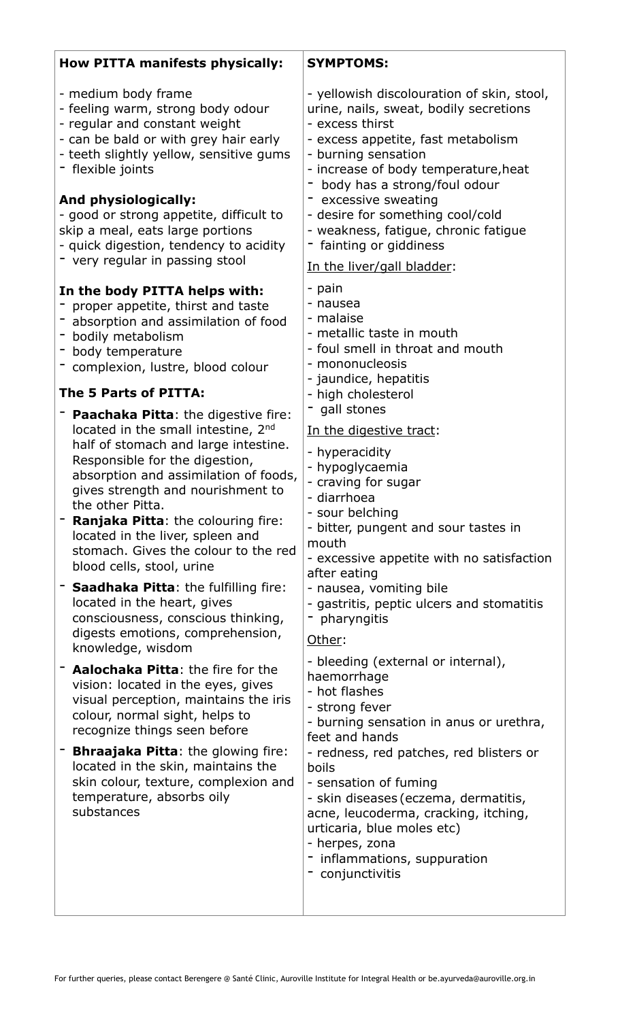| <b>How PITTA manifests physically:</b>                                                                                                                                                                                                                                                                                                                                                        | <b>SYMPTOMS:</b>                                                                                                                                                                                                                                                                                                                                                                                        |
|-----------------------------------------------------------------------------------------------------------------------------------------------------------------------------------------------------------------------------------------------------------------------------------------------------------------------------------------------------------------------------------------------|---------------------------------------------------------------------------------------------------------------------------------------------------------------------------------------------------------------------------------------------------------------------------------------------------------------------------------------------------------------------------------------------------------|
| - medium body frame<br>- feeling warm, strong body odour<br>- regular and constant weight<br>- can be bald or with grey hair early<br>- teeth slightly yellow, sensitive gums<br>- flexible joints<br><b>And physiologically:</b><br>- good or strong appetite, difficult to<br>skip a meal, eats large portions<br>- quick digestion, tendency to acidity<br>- very regular in passing stool | - yellowish discolouration of skin, stool,<br>urine, nails, sweat, bodily secretions<br>- excess thirst<br>- excess appetite, fast metabolism<br>- burning sensation<br>- increase of body temperature, heat<br>body has a strong/foul odour<br>- excessive sweating<br>- desire for something cool/cold<br>- weakness, fatigue, chronic fatigue<br>fainting or giddiness<br>In the liver/gall bladder: |
|                                                                                                                                                                                                                                                                                                                                                                                               | - pain                                                                                                                                                                                                                                                                                                                                                                                                  |
| In the body PITTA helps with:<br>- proper appetite, thirst and taste<br>absorption and assimilation of food<br>- bodily metabolism<br>- body temperature<br>- complexion, lustre, blood colour<br>The 5 Parts of PITTA:<br>Paachaka Pitta: the digestive fire:<br>located in the small intestine, 2nd                                                                                         | - nausea<br>- malaise<br>- metallic taste in mouth<br>- foul smell in throat and mouth<br>- mononucleosis<br>- jaundice, hepatitis<br>- high cholesterol<br>gall stones<br>In the digestive tract:                                                                                                                                                                                                      |
| half of stomach and large intestine.<br>Responsible for the digestion,<br>absorption and assimilation of foods,<br>gives strength and nourishment to<br>the other Pitta.<br><b>Ranjaka Pitta:</b> the colouring fire:<br>located in the liver, spleen and<br>stomach. Gives the colour to the red<br>blood cells, stool, urine                                                                | - hyperacidity<br>- hypoglycaemia<br>- craving for sugar<br>- diarrhoea<br>- sour belching<br>- bitter, pungent and sour tastes in<br>mouth<br>- excessive appetite with no satisfaction<br>after eating                                                                                                                                                                                                |
| <b>Saadhaka Pitta:</b> the fulfilling fire:<br>located in the heart, gives<br>consciousness, conscious thinking,<br>digests emotions, comprehension,<br>knowledge, wisdom                                                                                                                                                                                                                     | - nausea, vomiting bile<br>- gastritis, peptic ulcers and stomatitis<br>pharyngitis<br>Other:                                                                                                                                                                                                                                                                                                           |
| Aalochaka Pitta: the fire for the<br>vision: located in the eyes, gives<br>visual perception, maintains the iris<br>colour, normal sight, helps to<br>recognize things seen before<br><b>Bhraajaka Pitta:</b> the glowing fire:<br>located in the skin, maintains the<br>skin colour, texture, complexion and<br>temperature, absorbs oily<br>substances                                      | - bleeding (external or internal),<br>haemorrhage<br>- hot flashes<br>- strong fever<br>- burning sensation in anus or urethra,<br>feet and hands<br>- redness, red patches, red blisters or<br>boils<br>- sensation of fuming<br>- skin diseases (eczema, dermatitis,<br>acne, leucoderma, cracking, itching,                                                                                          |
|                                                                                                                                                                                                                                                                                                                                                                                               | urticaria, blue moles etc)<br>- herpes, zona<br>- inflammations, suppuration<br>- conjunctivitis                                                                                                                                                                                                                                                                                                        |